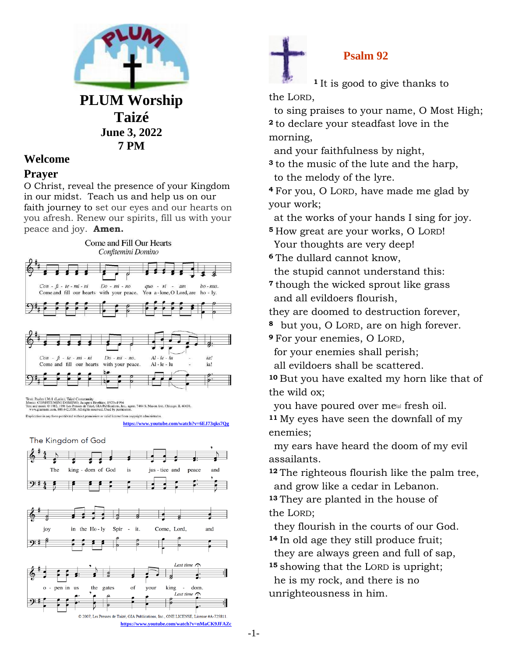

**7 PM**

# **Welcome**

### **Prayer**

O Christ, reveal the presence of your Kingdom in our midst. Teach us and help us on our faith journey to set our eyes and our hearts on you afresh. Renew our spirits, fill us with your peace and joy. **Amen.**



Duplication in any form prohibited without permission or valid license from copyright administrator

**<https://www.youtube.com/watch?v=6EJ73qks7Qg>**

The Kingdom of God



## **Psalm 92**

**<sup>1</sup>** It is good to give thanks to the LORD,

 to sing praises to your name, O Most High; **<sup>2</sup>** to declare your steadfast love in the morning,

and your faithfulness by night,

**<sup>3</sup>** to the music of the lute and the harp, to the melody of the lyre.

**<sup>4</sup>** For you, O LORD, have made me glad by your work;

at the works of your hands I sing for joy.

**<sup>5</sup>** How great are your works, O LORD! Your thoughts are very deep!

**<sup>6</sup>** The dullard cannot know, the stupid cannot understand this:

**<sup>7</sup>** though the wicked sprout like grass and all evildoers flourish,

they are doomed to destruction forever,

**<sup>8</sup>** but you, O LORD, are on high forever.

**<sup>9</sup>** For your enemies, O LORD,

for your enemies shall perish;

all evildoers shall be scattered.

**<sup>10</sup>** But you have exalted my horn like that of the wild ox;

vou have poured over me<sup>[\[a\]](https://www.biblegateway.com/passage/?search=Psalm+92&version=NRSV#fen-NRSV-15422a)</sup> fresh oil.

**<sup>11</sup>** My eyes have seen the downfall of my enemies;

 my ears have heard the doom of my evil assailants.

**<sup>12</sup>** The righteous flourish like the palm tree, and grow like a cedar in Lebanon.

**<sup>13</sup>** They are planted in the house of the LORD;

 they flourish in the courts of our God. **<sup>14</sup>** In old age they still produce fruit;

they are always green and full of sap,

**<sup>15</sup>** showing that the LORD is upright; he is my rock, and there is no unrighteousness in him.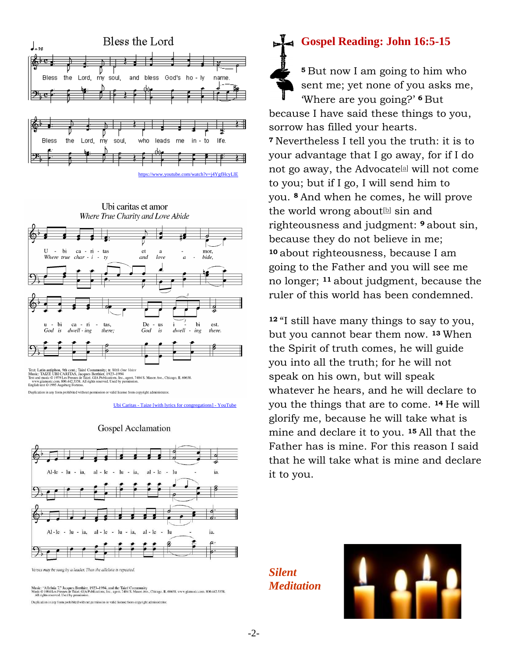



Text: Latin antiphon, 9th cent.; Taizé Community; tr. With One Voice<br>Music: TAIZE UBI CARITAS, Jacques Berthier, 1923–1994<br>Text and music © 1979 Les Preses de Taizé. GIA Publications. Inc., agent. 7404 S. Mason Ave., Chica

Duplication in any form prohibited without permission or valid license from copyright administrator.

Ubi Caritas - [Taize \[with lyrics for congregations\] -](https://www.youtube.com/watch?v=Vvfr_2euIFo) YouTube





Verses may be sung by a leader. Then the alleluia is repeated

Music: "Alleluia 7," Jacques Berthier, 1923-1994, and the Taizé Community<br>Music © 1984 Les Presses de Taizé, GIA Publications, Inc., agent. 7404 S. Mason Ave., Chicago, IL 60638. www.giamusic.com. 800.442.3358.<br>All rights

Duplication in any form prohibited without permission or valid license from copyright administrator

# **Gospel Reading: John 16:5-15**

**<sup>5</sup>** But now I am going to him who sent me; yet none of you asks me, 'Where are you going?' **<sup>6</sup>** But because I have said these things to you, sorrow has filled your hearts. **<sup>7</sup>** Nevertheless I tell you the truth: it is to your advantage that I go away, for if I do not go away, the Advocate $[a]$  will not come to you; but if I go, I will send him to you. **<sup>8</sup>** And when he comes, he will prove the world wrong about<sup>[\[b\]](https://www.biblegateway.com/passage/?search=John+16%3A5-15&version=NRSV#fen-NRSV-26724b)</sup> sin and righteousness and judgment: **<sup>9</sup>** about sin, because they do not believe in me; **<sup>10</sup>** about righteousness, because I am going to the Father and you will see me no longer; **<sup>11</sup>** about judgment, because the ruler of this world has been condemned.

**<sup>12</sup>** "I still have many things to say to you, but you cannot bear them now. **<sup>13</sup>** When the Spirit of truth comes, he will guide you into all the truth; for he will not speak on his own, but will speak whatever he hears, and he will declare to you the things that are to come. **<sup>14</sup>** He will glorify me, because he will take what is mine and declare it to you. **<sup>15</sup>** All that the Father has is mine. For this reason I said that he will take what is mine and declare it to you.

*Silent Meditation* 

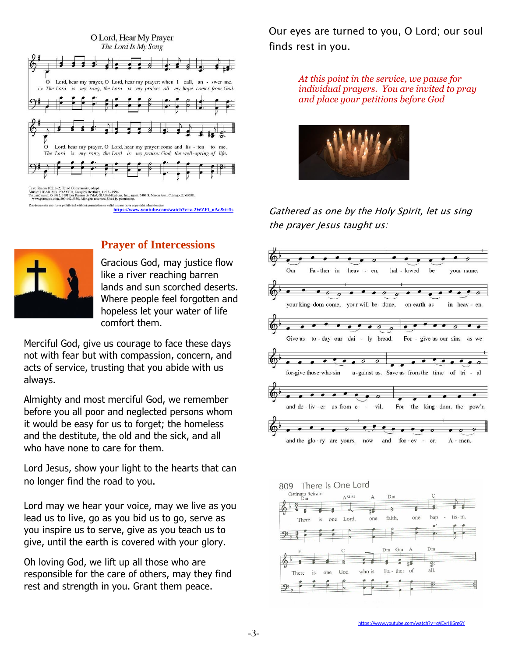

## **Prayer of Intercessions**

Gracious God, may justice flow like a river reaching barren lands and sun scorched deserts. Where people feel forgotten and hopeless let your water of life comfort them.

Merciful God, give us courage to face these days not with fear but with compassion, concern, and acts of service, trusting that you abide with us always.

Almighty and most merciful God, we remember before you all poor and neglected persons whom it would be easy for us to forget; the homeless and the destitute, the old and the sick, and all who have none to care for them.

Lord Jesus, show your light to the hearts that can no longer find the road to you.

Lord may we hear your voice, may we live as you lead us to live, go as you bid us to go, serve as you inspire us to serve, give as you teach us to give, until the earth is covered with your glory.

Oh loving God, we lift up all those who are responsible for the care of others, may they find rest and strength in you. Grant them peace.

Our eyes are turned to you, O Lord; our soul finds rest in you.

> *At this point in the service, we pause for individual prayers. You are invited to pray and place your petitions before God*



Gathered as one by the Holy Spirit, let us sing the prayer Jesus taught us: